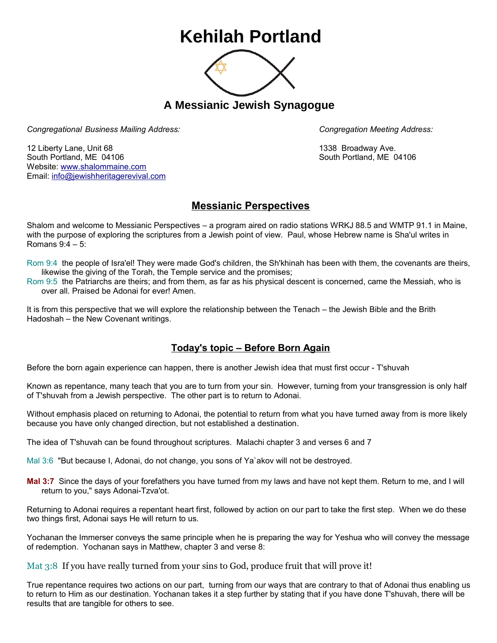## **Kehilah Portland**



**A Messianic Jewish Synagogue** 

*Congregational Business Mailing Address: Congregation Meeting Address:*

12 Liberty Lane, Unit 68 1338 Broadway Ave. South Portland, ME 04106 South Portland, ME 04106 Website: [www.shalommaine.com](http://www.shalommaine.com/) Email: [info@jewishheritagerevival.com](mailto:info@jewishheritagerevival.com) 

## **Messianic Perspectives**

Shalom and welcome to Messianic Perspectives – a program aired on radio stations WRKJ 88.5 and WMTP 91.1 in Maine, with the purpose of exploring the scriptures from a Jewish point of view. Paul, whose Hebrew name is Sha'ul writes in Romans 9:4 – 5:

Rom 9:4 the people of Isra'el! They were made God's children, the Sh'khinah has been with them, the covenants are theirs, likewise the giving of the Torah, the Temple service and the promises;

Rom 9:5 the Patriarchs are theirs; and from them, as far as his physical descent is concerned, came the Messiah, who is over all. Praised be Adonai for ever! Amen.

It is from this perspective that we will explore the relationship between the Tenach – the Jewish Bible and the Brith Hadoshah – the New Covenant writings.

## **Today's topic – Before Born Again**

Before the born again experience can happen, there is another Jewish idea that must first occur - T'shuvah

Known as repentance, many teach that you are to turn from your sin. However, turning from your transgression is only half of T'shuvah from a Jewish perspective. The other part is to return to Adonai.

Without emphasis placed on returning to Adonai, the potential to return from what you have turned away from is more likely because you have only changed direction, but not established a destination.

The idea of T'shuvah can be found throughout scriptures. Malachi chapter 3 and verses 6 and 7

Mal 3:6 "But because I, Adonai, do not change, you sons of Ya`akov will not be destroyed.

**Mal 3:7** Since the days of your forefathers you have turned from my laws and have not kept them. Return to me, and I will return to you," says Adonai-Tzva'ot.

Returning to Adonai requires a repentant heart first, followed by action on our part to take the first step. When we do these two things first, Adonai says He will return to us.

Yochanan the Immerser conveys the same principle when he is preparing the way for Yeshua who will convey the message of redemption. Yochanan says in Matthew, chapter 3 and verse 8:

Mat 3:8 If you have really turned from your sins to God, produce fruit that will prove it!

True repentance requires two actions on our part, turning from our ways that are contrary to that of Adonai thus enabling us to return to Him as our destination. Yochanan takes it a step further by stating that if you have done T'shuvah, there will be results that are tangible for others to see.